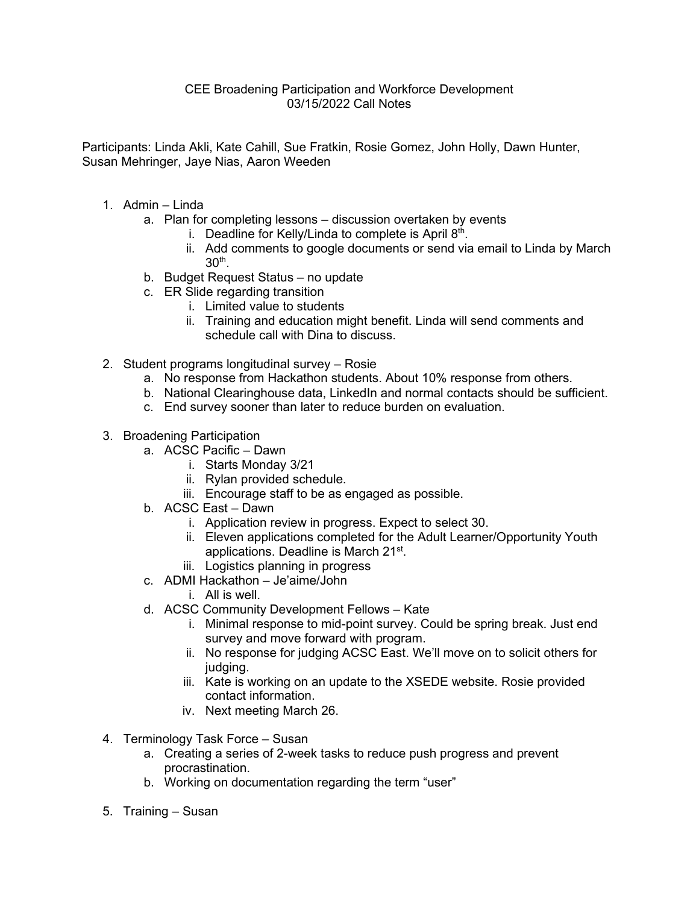## CEE Broadening Participation and Workforce Development 03/15/2022 Call Notes

Participants: Linda Akli, Kate Cahill, Sue Fratkin, Rosie Gomez, John Holly, Dawn Hunter, Susan Mehringer, Jaye Nias, Aaron Weeden

- 1. Admin Linda
	- a. Plan for completing lessons discussion overtaken by events
		- i. Deadline for Kelly/Linda to complete is April  $8<sup>th</sup>$ .
		- ii. Add comments to google documents or send via email to Linda by March 30th.
	- b. Budget Request Status no update
	- c. ER Slide regarding transition
		- i. Limited value to students
		- ii. Training and education might benefit. Linda will send comments and schedule call with Dina to discuss.
- 2. Student programs longitudinal survey Rosie
	- a. No response from Hackathon students. About 10% response from others.
	- b. National Clearinghouse data, LinkedIn and normal contacts should be sufficient.
	- c. End survey sooner than later to reduce burden on evaluation.
- 3. Broadening Participation
	- a. ACSC Pacific Dawn
		- i. Starts Monday 3/21
		- ii. Rylan provided schedule.
		- iii. Encourage staff to be as engaged as possible.
	- b. ACSC East Dawn
		- i. Application review in progress. Expect to select 30.
		- ii. Eleven applications completed for the Adult Learner/Opportunity Youth applications. Deadline is March 21st.
		- iii. Logistics planning in progress
	- c. ADMI Hackathon Je'aime/John
		- i. All is well.
	- d. ACSC Community Development Fellows Kate
		- i. Minimal response to mid-point survey. Could be spring break. Just end survey and move forward with program.
		- ii. No response for judging ACSC East. We'll move on to solicit others for judging.
		- iii. Kate is working on an update to the XSEDE website. Rosie provided contact information.
		- iv. Next meeting March 26.
- 4. Terminology Task Force Susan
	- a. Creating a series of 2-week tasks to reduce push progress and prevent procrastination.
	- b. Working on documentation regarding the term "user"
- 5. Training Susan